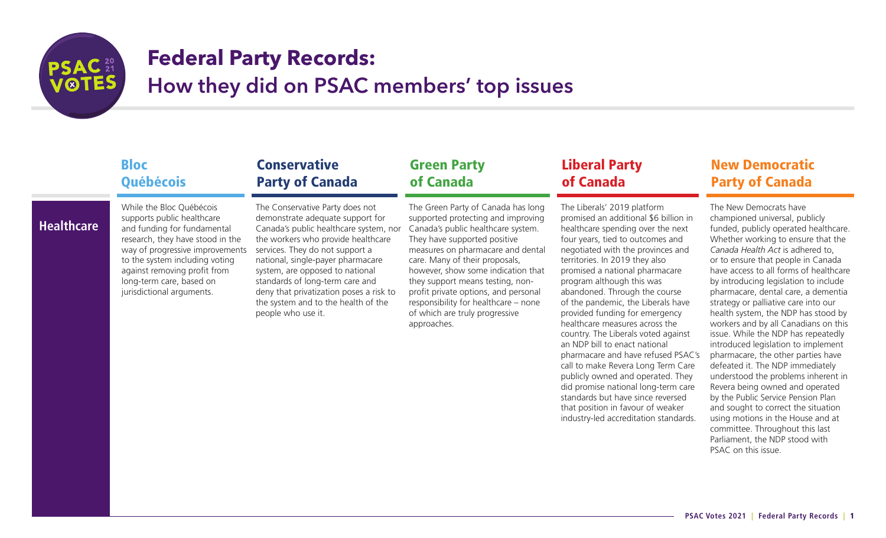

# **Federal Party Records:**

How they did on PSAC members' top issues

### Bloc **Ouébécois**

### **Healthcare**

supports public healthcare and funding for fundamental research, they have stood in the way of progressive improvements to the system including voting against removing profit from long-term care, based on jurisdictional arguments.

While the Bloc Québécois

The Conservative Party does not demonstrate adequate support for Canada's public healthcare system, nor the workers who provide healthcare services. They do not support a national, single-payer pharmacare system, are opposed to national standards of long-term care and deny that privatization poses a risk to the system and to the health of the people who use it.

**Conservative** 

Party of Canada

### Green Party of Canada

The Green Party of Canada has long supported protecting and improving Canada's public healthcare system. They have supported positive measures on pharmacare and dental care. Many of their proposals, however, show some indication that they support means testing, nonprofit private options, and personal responsibility for healthcare – none of which are truly progressive approaches.

### Liberal Party of Canada

The Liberals' 2019 platform promised an additional \$6 billion in healthcare spending over the next four years, tied to outcomes and negotiated with the provinces and territories. In 2019 they also promised a national pharmacare program although this was abandoned. Through the course of the pandemic, the Liberals have provided funding for emergency healthcare measures across the country. The Liberals voted against an NDP bill to enact national pharmacare and have refused PSAC's call to make Revera Long Term Care publicly owned and operated. They did promise national long-term care standards but have since reversed that position in favour of weaker industry-led accreditation standards.

### New Democratic Party of Canada

The New Democrats have championed universal, publicly funded, publicly operated healthcare. Whether working to ensure that the *Canada Health Act* is adhered to, or to ensure that people in Canada have access to all forms of healthcare by introducing legislation to include pharmacare, dental care, a dementia strategy or palliative care into our health system, the NDP has stood by workers and by all Canadians on this issue. While the NDP has repeatedly introduced legislation to implement pharmacare, the other parties have defeated it. The NDP immediately understood the problems inherent in Revera being owned and operated by the Public Service Pension Plan and sought to correct the situation using motions in the House and at committee. Throughout this last Parliament, the NDP stood with PSAC on this issue.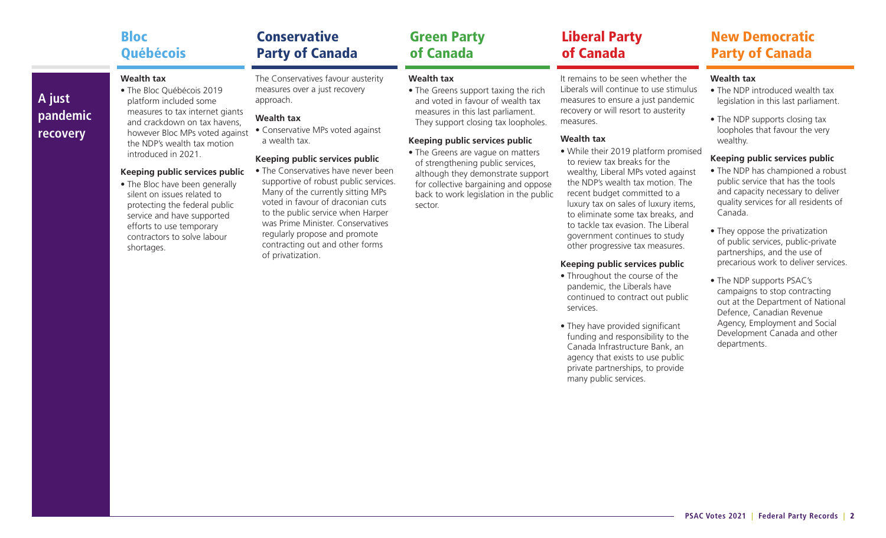| <b>Bloc</b>               | <b>Conservative</b>                | <b>Green Party</b>                   | <b>Liberal Party</b>           |  |
|---------------------------|------------------------------------|--------------------------------------|--------------------------------|--|
| <b>Québécois</b>          | <b>Party of Canada</b>             | of Canada                            | of Canada                      |  |
| Wealth tax                | The Conservatives favour austerity | Wealth tax                           | It remains to be seen whethe   |  |
| • The Rior Québécois 2019 | measures over a just recovery      | • The Greens support taxing the rich | l iberals will continue to use |  |

### **A just pandemic recovery**

• The Bloc Québécois 2019 platform included some measures to tax internet giants and crackdown on tax havens, however Bloc MPs voted against the NDP's wealth tax motion

introduced in 2021.

#### **Keeping public services public**

• The Bloc have been generally silent on issues related to protecting the federal public service and have supported efforts to use temporary contractors to solve labour shortages.

measures over a just recovery approach.

### **Wealth tax**

• Conservative MPs voted against a wealth tax.

### **Keeping public services public**

• The Conservatives have never been supportive of robust public services. Many of the currently sitting MPs voted in favour of draconian cuts to the public service when Harper was Prime Minister. Conservatives regularly propose and promote contracting out and other forms of privatization.

• The Greens support taxing the rich and voted in favour of wealth tax measures in this last parliament. They support closing tax loopholes.

### **Keeping public services public**

• The Greens are vague on matters of strengthening public services, although they demonstrate support for collective bargaining and oppose back to work legislation in the public sector.

 $er$  the stimulus i measures to ensure a just pandemic recovery or will resort to austerity measures.

#### **Wealth tax**

• While their 2019 platform promised to review tax breaks for the wealthy, Liberal MPs voted against the NDP's wealth tax motion. The recent budget committed to a luxury tax on sales of luxury items, to eliminate some tax breaks, and to tackle tax evasion. The Liberal government continues to study other progressive tax measures.

#### **Keeping public services public**

- Throughout the course of the pandemic, the Liberals have continued to contract out public services.
- They have provided significant funding and responsibility to the Canada Infrastructure Bank, an agency that exists to use public private partnerships, to provide many public services.

### New Democratic Party of Canada

#### **Wealth tax**

- The NDP introduced wealth tax legislation in this last parliament.
- The NDP supports closing tax loopholes that favour the very wealthy.

### **Keeping public services public**

- The NDP has championed a robust public service that has the tools and capacity necessary to deliver quality services for all residents of Canada.
- They oppose the privatization of public services, public-private partnerships, and the use of precarious work to deliver services.
- The NDP supports PSAC's campaigns to stop contracting out at the Department of National Defence, Canadian Revenue Agency, Employment and Social Development Canada and other departments.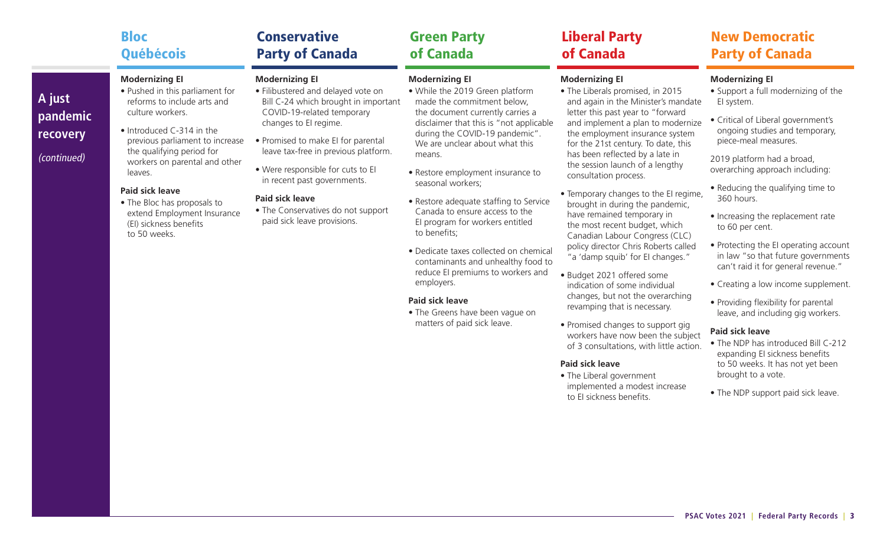|                                               | <b>Bloc</b>                                                                                                                                                                                                                                                                                                                                                                            | <b>Conservative</b>                                                                                                                                                                                                                                                                                                                                                                                         | <b>Green Party</b>                                                                                                                                                                                                                                                                                                                                                                                                                                                                                                                                                                                                                                                          | <b>Liberal Party</b>                                                                                                                                                                                                                                                                                                                                                                                                                                                                                                                                                                                                                                                                                                                                                                                                                                                                                                                                                                    | <b>New Democratic</b>                                                                                                                                                                                                                                                                                                                                                                                                                                                                                                                                                                                                                                                                                                                                                                               |
|-----------------------------------------------|----------------------------------------------------------------------------------------------------------------------------------------------------------------------------------------------------------------------------------------------------------------------------------------------------------------------------------------------------------------------------------------|-------------------------------------------------------------------------------------------------------------------------------------------------------------------------------------------------------------------------------------------------------------------------------------------------------------------------------------------------------------------------------------------------------------|-----------------------------------------------------------------------------------------------------------------------------------------------------------------------------------------------------------------------------------------------------------------------------------------------------------------------------------------------------------------------------------------------------------------------------------------------------------------------------------------------------------------------------------------------------------------------------------------------------------------------------------------------------------------------------|-----------------------------------------------------------------------------------------------------------------------------------------------------------------------------------------------------------------------------------------------------------------------------------------------------------------------------------------------------------------------------------------------------------------------------------------------------------------------------------------------------------------------------------------------------------------------------------------------------------------------------------------------------------------------------------------------------------------------------------------------------------------------------------------------------------------------------------------------------------------------------------------------------------------------------------------------------------------------------------------|-----------------------------------------------------------------------------------------------------------------------------------------------------------------------------------------------------------------------------------------------------------------------------------------------------------------------------------------------------------------------------------------------------------------------------------------------------------------------------------------------------------------------------------------------------------------------------------------------------------------------------------------------------------------------------------------------------------------------------------------------------------------------------------------------------|
|                                               | Québécois                                                                                                                                                                                                                                                                                                                                                                              | <b>Party of Canada</b>                                                                                                                                                                                                                                                                                                                                                                                      | of Canada                                                                                                                                                                                                                                                                                                                                                                                                                                                                                                                                                                                                                                                                   | of Canada                                                                                                                                                                                                                                                                                                                                                                                                                                                                                                                                                                                                                                                                                                                                                                                                                                                                                                                                                                               | <b>Party of Canada</b>                                                                                                                                                                                                                                                                                                                                                                                                                                                                                                                                                                                                                                                                                                                                                                              |
| A just<br>pandemic<br>recovery<br>(continued) | <b>Modernizing El</b><br>• Pushed in this parliament for<br>reforms to include arts and<br>culture workers.<br>• Introduced C-314 in the<br>previous parliament to increase<br>the qualifying period for<br>workers on parental and other<br>leaves.<br><b>Paid sick leave</b><br>• The Bloc has proposals to<br>extend Employment Insurance<br>(EI) sickness benefits<br>to 50 weeks. | <b>Modernizing El</b><br>· Filibustered and delayed vote on<br>Bill C-24 which brought in important<br>COVID-19-related temporary<br>changes to El regime.<br>• Promised to make EI for parental<br>leave tax-free in previous platform.<br>. Were responsible for cuts to El<br>in recent past governments.<br><b>Paid sick leave</b><br>• The Conservatives do not support<br>paid sick leave provisions. | <b>Modernizing El</b><br>• While the 2019 Green platform<br>made the commitment below,<br>the document currently carries a<br>disclaimer that this is "not applicable<br>during the COVID-19 pandemic".<br>We are unclear about what this<br>means.<br>• Restore employment insurance to<br>seasonal workers;<br>• Restore adequate staffing to Service<br>Canada to ensure access to the<br>El program for workers entitled<br>to benefits;<br>· Dedicate taxes collected on chemical<br>contaminants and unhealthy food to<br>reduce EI premiums to workers and<br>employers.<br><b>Paid sick leave</b><br>• The Greens have been vague on<br>matters of paid sick leave. | <b>Modernizing El</b><br>• The Liberals promised, in 2015<br>and again in the Minister's mandate<br>letter this past year to "forward<br>and implement a plan to modernize<br>the employment insurance system<br>for the 21st century. To date, this<br>has been reflected by a late in<br>the session launch of a lengthy<br>consultation process.<br>• Temporary changes to the El regime,<br>brought in during the pandemic,<br>have remained temporary in<br>the most recent budget, which<br>Canadian Labour Congress (CLC)<br>policy director Chris Roberts called<br>"a 'damp squib' for El changes."<br>· Budget 2021 offered some<br>indication of some individual<br>changes, but not the overarching<br>revamping that is necessary.<br>• Promised changes to support gig<br>workers have now been the subject<br>of 3 consultations, with little action.<br><b>Paid sick leave</b><br>• The Liberal government<br>implemented a modest increase<br>to El sickness benefits. | <b>Modernizing El</b><br>• Support a full modernizing of the<br>El system.<br>· Critical of Liberal government's<br>ongoing studies and temporary,<br>piece-meal measures.<br>2019 platform had a broad,<br>overarching approach including:<br>• Reducing the qualifying time to<br>360 hours.<br>• Increasing the replacement rate<br>to 60 per cent.<br>• Protecting the El operating account<br>in law "so that future governments<br>can't raid it for general revenue."<br>• Creating a low income supplement.<br>• Providing flexibility for parental<br>leave, and including gig workers.<br><b>Paid sick leave</b><br>• The NDP has introduced Bill C-212<br>expanding EI sickness benefits<br>to 50 weeks. It has not yet been<br>brought to a vote.<br>• The NDP support paid sick leave. |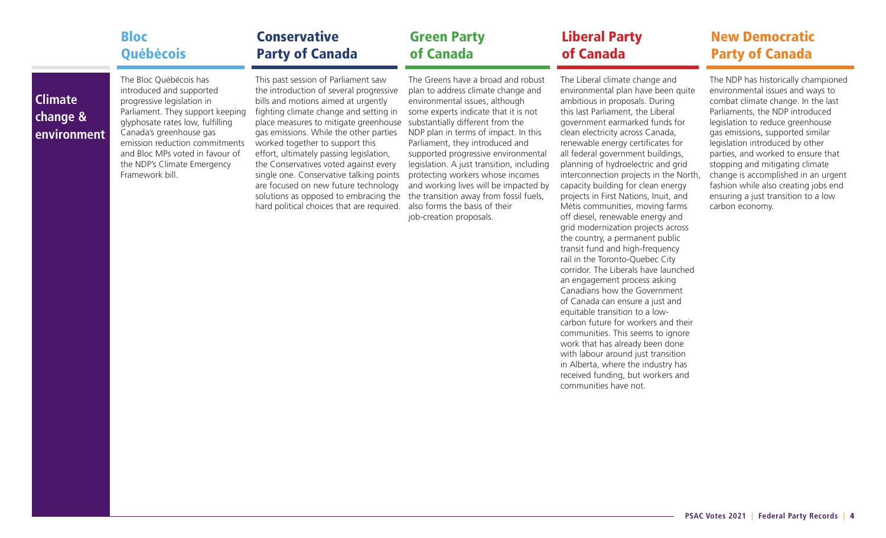| <b>Bloc</b>            | <b>Conservative</b>                 | <b>Green Party</b>                 | <b>Liberal Party</b>           | <b>New Democratic</b>  |
|------------------------|-------------------------------------|------------------------------------|--------------------------------|------------------------|
| <b>Québécois</b>       | <b>Party of Canada</b>              | of Canada                          | of Canada                      | <b>Party of Canada</b> |
| The Bloc Québécois has | This past session of Parliament saw | The Greens have a broad and robust | The Liberal climate change and |                        |

### **Climate change & environment**

introduced and supported progressive legislation in Parliament. They support keeping glyphosate rates low, fulfilling Canada's greenhouse gas emission reduction commitments and Bloc MPs voted in favour of the NDP's Climate Emergency Framework bill.

the introduction of several progressive bills and motions aimed at urgently fighting climate change and setting in place measures to mitigate greenhouse gas emissions. While the other parties worked together to support this effort, ultimately passing legislation, the Conservatives voted against every single one. Conservative talking points are focused on new future technology solutions as opposed to embracing the hard political choices that are required.

plan to address climate change and environmental issues, although some experts indicate that it is not substantially different from the NDP plan in terms of impact. In this Parliament, they introduced and supported progressive environmental legislation. A just transition, including protecting workers whose incomes and working lives will be impacted by the transition away from fossil fuels, also forms the basis of their job-creation proposals.

environmental plan have been quite ambitious in proposals. During this last Parliament, the Liberal government earmarked funds for clean electricity across Canada, renewable energy certificates for all federal government buildings, planning of hydroelectric and grid interconnection projects in the North, capacity building for clean energy projects in First Nations, Inuit, and Métis communities, moving farms off diesel, renewable energy and grid modernization projects across the country, a permanent public transit fund and high-frequency rail in the Toronto-Quebec City corridor. The Liberals have launched an engagement process asking Canadians how the Government of Canada can ensure a just and equitable transition to a lowcarbon future for workers and their communities. This seems to ignore work that has already been done with labour around just transition in Alberta, where the industry has received funding, but workers and communities have not.

# ampioned environmental issues and ways to combat climate change. In the last

Parliaments, the NDP introduced legislation to reduce greenhouse gas emissions, supported similar legislation introduced by other parties, and worked to ensure that stopping and mitigating climate change is accomplished in an urgent fashion while also creating jobs end ensuring a just transition to a low carbon economy.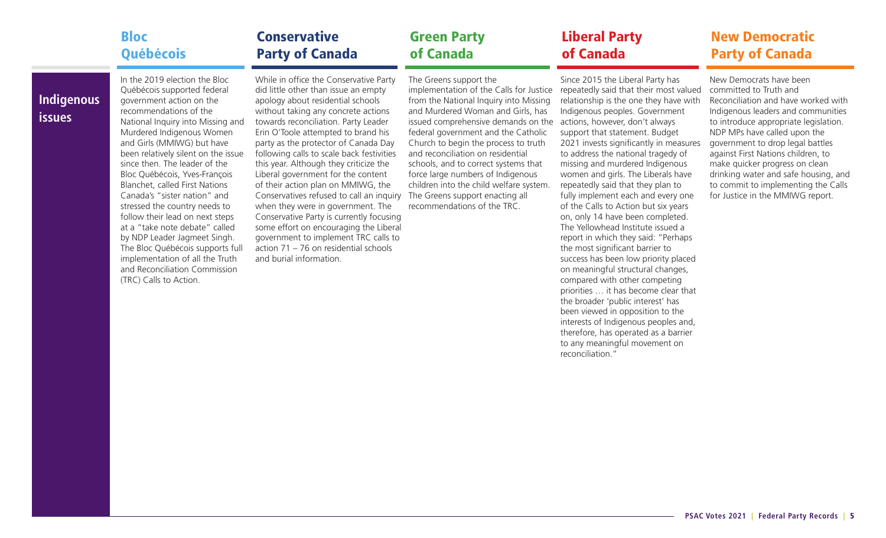#### Bloc **Ouébécois** Conservative Party of Canada Green Party of Canada

### Liberal Party of Canada

### New Democratic Party of Canada

**Indigenous issues**

In the 2019 election the Bloc Québécois supported federal government action on the recommendations of the National Inquiry into Missing and Murdered Indigenous Women and Girls (MMIWG) but have been relatively silent on the issue since then. The leader of the Bloc Québécois, Yves-François Blanchet, called First Nations Canada's "sister nation" and stressed the country needs to follow their lead on next steps at a "take note debate" called by NDP Leader Jagmeet Singh. The Bloc Québécois supports full implementation of all the Truth and Reconciliation Commission (TRC) Calls to Action.

While in office the Conservative Party did little other than issue an empty apology about residential schools without taking any concrete actions towards reconciliation. Party Leader Erin O'Toole attempted to brand his party as the protector of Canada Day following calls to scale back festivities this year. Although they criticize the Liberal government for the content of their action plan on MMIWG, the Conservatives refused to call an inquiry The Greens support enacting all when they were in government. The Conservative Party is currently focusing some effort on encouraging the Liberal government to implement TRC calls to action 71 – 76 on residential schools and burial information.

The Greens support the from the National Inquiry into Missing and Murdered Woman and Girls, has issued comprehensive demands on the actions, however, don't always federal government and the Catholic Church to begin the process to truth and reconciliation on residential schools, and to correct systems that force large numbers of Indigenous children into the child welfare system. recommendations of the TRC.

implementation of the Calls for Justice repeatedly said that their most valued Since 2015 the Liberal Party has relationship is the one they have with Indigenous peoples. Government support that statement. Budget 2021 invests significantly in measures to address the national tragedy of missing and murdered Indigenous women and girls. The Liberals have repeatedly said that they plan to fully implement each and every one of the Calls to Action but six years on, only 14 have been completed. The Yellowhead Institute issued a report in which they said: "Perhaps the most significant barrier to success has been low priority placed on meaningful structural changes, compared with other competing priorities … it has become clear that the broader 'public interest' has been viewed in opposition to the interests of Indigenous peoples and, therefore, has operated as a barrier to any meaningful movement on reconciliation."

New Democrats have been committed to Truth and Reconciliation and have worked with Indigenous leaders and communities to introduce appropriate legislation. NDP MPs have called upon the government to drop legal battles against First Nations children, to make quicker progress on clean drinking water and safe housing, and to commit to implementing the Calls for Justice in the MMIWG report.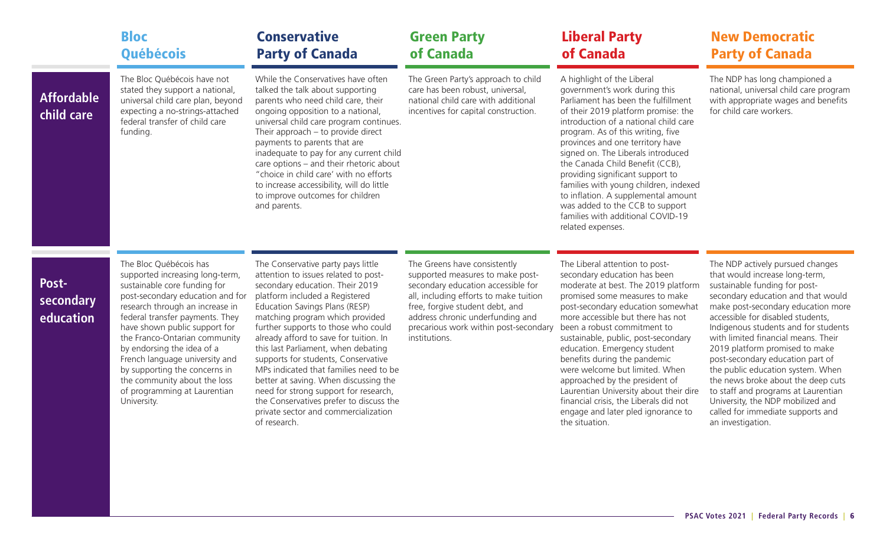|                                 | <b>Bloc</b><br>Québécois                                                                                                                                                                                                                                                                                                                                                                                                                              | <b>Conservative</b><br><b>Party of Canada</b>                                                                                                                                                                                                                                                                                                                                                                                                                                                                                                                                                                      | <b>Green Party</b><br>of Canada                                                                                                                                                                                                                                                   | <b>Liberal Party</b><br>of Canada                                                                                                                                                                                                                                                                                                                                                                                                                                                                                                                                       | <b>New Democratic</b><br><b>Party of Canada</b>                                                                                                                                                                                                                                                                                                                                                                                                                                                                                                                                            |
|---------------------------------|-------------------------------------------------------------------------------------------------------------------------------------------------------------------------------------------------------------------------------------------------------------------------------------------------------------------------------------------------------------------------------------------------------------------------------------------------------|--------------------------------------------------------------------------------------------------------------------------------------------------------------------------------------------------------------------------------------------------------------------------------------------------------------------------------------------------------------------------------------------------------------------------------------------------------------------------------------------------------------------------------------------------------------------------------------------------------------------|-----------------------------------------------------------------------------------------------------------------------------------------------------------------------------------------------------------------------------------------------------------------------------------|-------------------------------------------------------------------------------------------------------------------------------------------------------------------------------------------------------------------------------------------------------------------------------------------------------------------------------------------------------------------------------------------------------------------------------------------------------------------------------------------------------------------------------------------------------------------------|--------------------------------------------------------------------------------------------------------------------------------------------------------------------------------------------------------------------------------------------------------------------------------------------------------------------------------------------------------------------------------------------------------------------------------------------------------------------------------------------------------------------------------------------------------------------------------------------|
| <b>Affordable</b><br>child care | The Bloc Québécois have not<br>stated they support a national,<br>universal child care plan, beyond<br>expecting a no-strings-attached<br>federal transfer of child care<br>funding.                                                                                                                                                                                                                                                                  | While the Conservatives have often<br>talked the talk about supporting<br>parents who need child care, their<br>ongoing opposition to a national,<br>universal child care program continues.<br>Their approach $-$ to provide direct<br>payments to parents that are<br>inadequate to pay for any current child<br>care options – and their rhetoric about<br>"choice in child care' with no efforts<br>to increase accessibility, will do little<br>to improve outcomes for children<br>and parents.                                                                                                              | The Green Party's approach to child<br>care has been robust, universal,<br>national child care with additional<br>incentives for capital construction.                                                                                                                            | A highlight of the Liberal<br>government's work during this<br>Parliament has been the fulfillment<br>of their 2019 platform promise: the<br>introduction of a national child care<br>program. As of this writing, five<br>provinces and one territory have<br>signed on. The Liberals introduced<br>the Canada Child Benefit (CCB),<br>providing significant support to<br>families with young children, indexed<br>to inflation. A supplemental amount<br>was added to the CCB to support<br>families with additional COVID-19<br>related expenses.                   | The NDP has long championed a<br>national, universal child care program<br>with appropriate wages and benefits<br>for child care workers.                                                                                                                                                                                                                                                                                                                                                                                                                                                  |
| Post-<br>secondary<br>education | The Bloc Québécois has<br>supported increasing long-term,<br>sustainable core funding for<br>post-secondary education and for<br>research through an increase in<br>federal transfer payments. They<br>have shown public support for<br>the Franco-Ontarian community<br>by endorsing the idea of a<br>French language university and<br>by supporting the concerns in<br>the community about the loss<br>of programming at Laurentian<br>University. | The Conservative party pays little<br>attention to issues related to post-<br>secondary education. Their 2019<br>platform included a Registered<br>Education Savings Plans (RESP)<br>matching program which provided<br>further supports to those who could<br>already afford to save for tuition. In<br>this last Parliament, when debating<br>supports for students, Conservative<br>MPs indicated that families need to be<br>better at saving. When discussing the<br>need for strong support for research,<br>the Conservatives prefer to discuss the<br>private sector and commercialization<br>of research. | The Greens have consistently<br>supported measures to make post-<br>secondary education accessible for<br>all, including efforts to make tuition<br>free, forgive student debt, and<br>address chronic underfunding and<br>precarious work within post-secondary<br>institutions. | The Liberal attention to post-<br>secondary education has been<br>moderate at best. The 2019 platform<br>promised some measures to make<br>post-secondary education somewhat<br>more accessible but there has not<br>been a robust commitment to<br>sustainable, public, post-secondary<br>education. Emergency student<br>benefits during the pandemic<br>were welcome but limited. When<br>approached by the president of<br>Laurentian University about their dire<br>financial crisis, the Liberals did not<br>engage and later pled ignorance to<br>the situation. | The NDP actively pursued changes<br>that would increase long-term,<br>sustainable funding for post-<br>secondary education and that would<br>make post-secondary education more<br>accessible for disabled students,<br>Indigenous students and for students<br>with limited financial means. Their<br>2019 platform promised to make<br>post-secondary education part of<br>the public education system. When<br>the news broke about the deep cuts<br>to staff and programs at Laurentian<br>University, the NDP mobilized and<br>called for immediate supports and<br>an investigation. |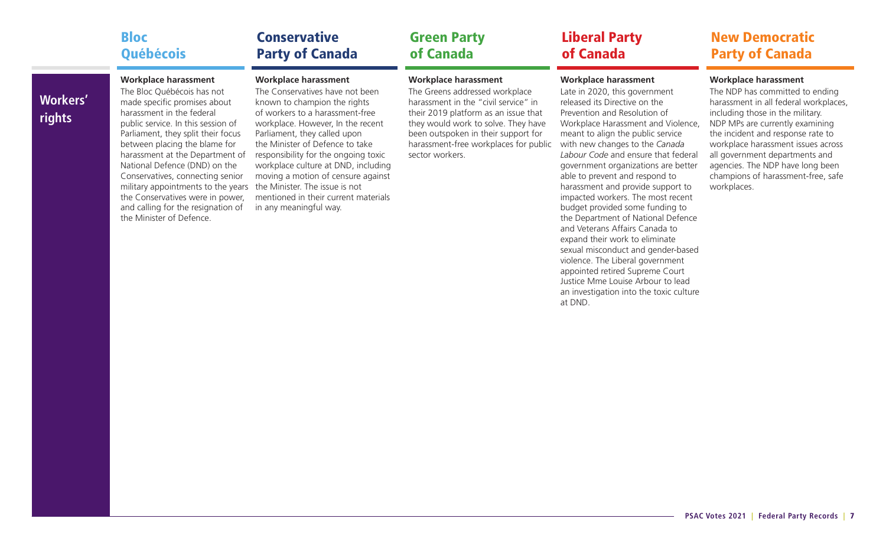|                 | <b>Bloc</b>                        | <b>Conservative</b>               | <b>Green Party</b>                   | <b>Liberal Party</b>               | <b>New Democratic</b>                 |
|-----------------|------------------------------------|-----------------------------------|--------------------------------------|------------------------------------|---------------------------------------|
|                 | Québécois                          | <b>Party of Canada</b>            | of Canada                            | of Canada                          | <b>Party of Canada</b>                |
|                 | <b>Workplace harassment</b>        | <b>Workplace harassment</b>       | <b>Workplace harassment</b>          | <b>Workplace harassment</b>        | <b>Workplace harassment</b>           |
| <b>Workers'</b> | The Bloc Québécois has not         | The Conservatives have not been   | The Greens addressed workplace       | Late in 2020, this government      | The NDP has committed to ending       |
|                 | made specific promises about       | known to champion the rights      | harassment in the "civil service" in | released its Directive on the      | harassment in all federal workplaces, |
|                 | harassment in the federal          | of workers to a harassment-free   | their 2019 platform as an issue that | Prevention and Resolution of       | including those in the military.      |
| rights          | public service. In this session of | workplace. However, In the recent | they would work to solve. They have  | Workplace Harassment and Violence, | NDP MPs are currently examining       |

public service. In this session of Parliament, they split their focus between placing the blame for National Defence (DND) on the Conservatives, connecting senior military appointments to the years the Minister. The issue is not the Conservatives were in power, and calling for the resignation of the Minister of Defence.

**The Committee Committee** 

harassment at the Department of responsibility for the ongoing toxic workplace. However, In the recent Parliament, they called upon the Minister of Defence to take workplace culture at DND, including moving a motion of censure against mentioned in their current materials in any meaningful way.

they would work to solve. They have been outspoken in their support for harassment-free workplaces for public with new changes to the *Canada*  sector workers.

Workplace Harassment and Violence, meant to align the public service *Labour Code* and ensure that federal government organizations are better able to prevent and respond to harassment and provide support to impacted workers. The most recent budget provided some funding to the Department of National Defence and Veterans Affairs Canada to expand their work to eliminate sexual misconduct and gender-based violence. The Liberal government appointed retired Supreme Court Justice Mme Louise Arbour to lead an investigation into the toxic culture at DND.

### **PSAC Votes 2021 | Federal Party Records |** 7

the incident and response rate to workplace harassment issues across all government departments and agencies. The NDP have long been champions of harassment-free, safe

workplaces.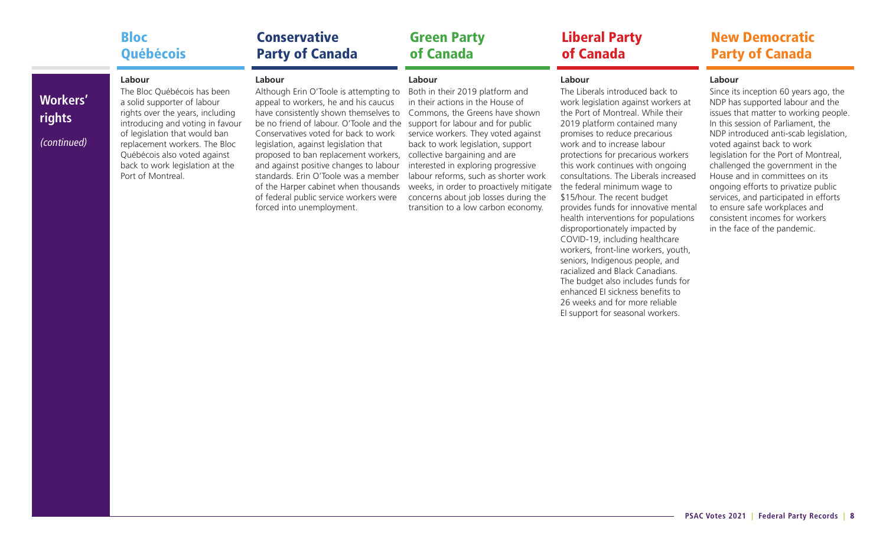|                                          | <b>Bloc</b>                                                                                                                                                                                                                                                                                            | <b>Conservative</b>                                                                                                                                                                                                                                                                                                                                                                                                                                                                                    | <b>Green Party</b>                                                                                                                                                                                                                                                                                                                                                                                                                                                         | <b>Liberal Party</b>                                                                                                                                                                                                                                                                                                                                                                                                                                                                                                                                                                                                                  | <b>New Democratic</b>                                                                                                                                                                                                                                                                                                                                                                                                                                                                                                                       |
|------------------------------------------|--------------------------------------------------------------------------------------------------------------------------------------------------------------------------------------------------------------------------------------------------------------------------------------------------------|--------------------------------------------------------------------------------------------------------------------------------------------------------------------------------------------------------------------------------------------------------------------------------------------------------------------------------------------------------------------------------------------------------------------------------------------------------------------------------------------------------|----------------------------------------------------------------------------------------------------------------------------------------------------------------------------------------------------------------------------------------------------------------------------------------------------------------------------------------------------------------------------------------------------------------------------------------------------------------------------|---------------------------------------------------------------------------------------------------------------------------------------------------------------------------------------------------------------------------------------------------------------------------------------------------------------------------------------------------------------------------------------------------------------------------------------------------------------------------------------------------------------------------------------------------------------------------------------------------------------------------------------|---------------------------------------------------------------------------------------------------------------------------------------------------------------------------------------------------------------------------------------------------------------------------------------------------------------------------------------------------------------------------------------------------------------------------------------------------------------------------------------------------------------------------------------------|
|                                          | Québécois                                                                                                                                                                                                                                                                                              | <b>Party of Canada</b>                                                                                                                                                                                                                                                                                                                                                                                                                                                                                 | of Canada                                                                                                                                                                                                                                                                                                                                                                                                                                                                  | of Canada                                                                                                                                                                                                                                                                                                                                                                                                                                                                                                                                                                                                                             | <b>Party of Canada</b>                                                                                                                                                                                                                                                                                                                                                                                                                                                                                                                      |
| <b>Workers'</b><br>rights<br>(continued) | Labour<br>The Bloc Québécois has been<br>a solid supporter of labour<br>rights over the years, including<br>introducing and voting in favour<br>of legislation that would ban<br>replacement workers. The Bloc<br>Québécois also voted against<br>back to work legislation at the<br>Port of Montreal. | Labour<br>Although Erin O'Toole is attempting to<br>appeal to workers, he and his caucus<br>have consistently shown themselves to<br>be no friend of labour. O'Toole and the<br>Conservatives voted for back to work<br>legislation, against legislation that<br>proposed to ban replacement workers,<br>and against positive changes to labour<br>standards. Erin O'Toole was a member<br>of the Harper cabinet when thousands<br>of federal public service workers were<br>forced into unemployment. | Labour<br>Both in their 2019 platform and<br>in their actions in the House of<br>Commons, the Greens have shown<br>support for labour and for public<br>service workers. They voted against<br>back to work legislation, support<br>collective bargaining and are<br>interested in exploring progressive<br>labour reforms, such as shorter work<br>weeks, in order to proactively mitigate<br>concerns about job losses during the<br>transition to a low carbon economy. | Labour<br>The Liberals introduced back to<br>work legislation against workers at<br>the Port of Montreal. While their<br>2019 platform contained many<br>promises to reduce precarious<br>work and to increase labour<br>protections for precarious workers<br>this work continues with ongoing<br>consultations. The Liberals increased<br>the federal minimum wage to<br>\$15/hour. The recent budget<br>provides funds for innovative mental<br>health interventions for populations<br>disproportionately impacted by<br>COVID-19, including healthcare<br>workers, front-line workers, youth,<br>seniors, Indigenous people, and | Labour<br>Since its inception 60 years ago, the<br>NDP has supported labour and the<br>issues that matter to working people.<br>In this session of Parliament, the<br>NDP introduced anti-scab legislation,<br>voted against back to work<br>legislation for the Port of Montreal,<br>challenged the government in the<br>House and in committees on its<br>ongoing efforts to privatize public<br>services, and participated in efforts<br>to ensure safe workplaces and<br>consistent incomes for workers<br>in the face of the pandemic. |

racialized and Black Canadians. The budget also includes funds for enhanced EI sickness benefits to 26 weeks and for more reliable EI support for seasonal workers.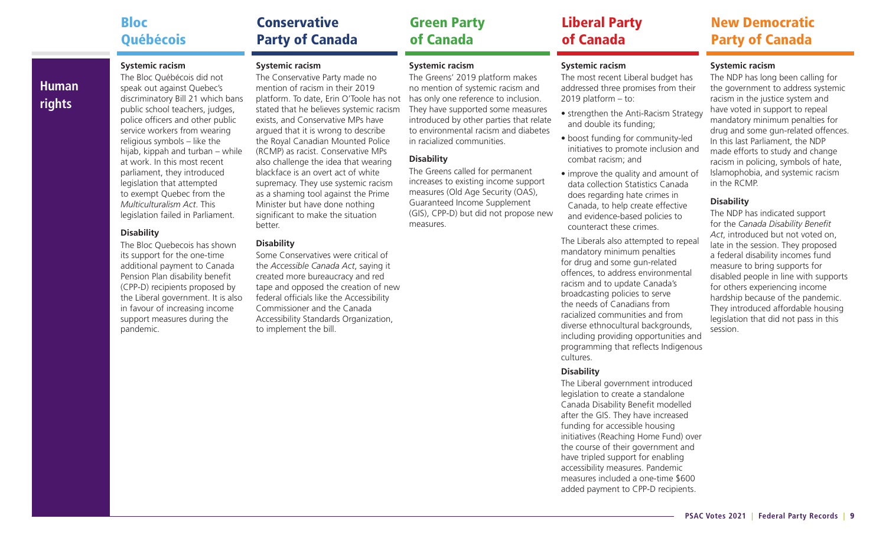### Bloc Québécois

**Human** 

**rights**

## **Conservative** Party of Canada

### **Systemic racism**

The Bloc Québécois did not speak out against Quebec's discriminatory Bill 21 which bans public school teachers, judges, police officers and other public service workers from wearing religious symbols – like the hijab, kippah and turban – while at work. In this most recent parliament, they introduced legislation that attempted to exempt Quebec from the *Multiculturalism Act*. This legislation failed in Parliament.

#### **Disability**

The Bloc Quebecois has shown its support for the one-time additional payment to Canada Pension Plan disability benefit (CPP-D) recipients proposed by the Liberal government. It is also in favour of increasing income support measures during the pandemic.

**Systemic racism**  The Conservative Party made no mention of racism in their 2019

platform. To date, Erin O'Toole has not stated that he believes systemic racism exists, and Conservative MPs have argued that it is wrong to describe the Royal Canadian Mounted Police (RCMP) as racist. Conservative MPs also challenge the idea that wearing blackface is an overt act of white supremacy. They use systemic racism as a shaming tool against the Prime Minister but have done nothing significant to make the situation better.

### **Disability**

Some Conservatives were critical of the *Accessible Canada Act*, saying it created more bureaucracy and red tape and opposed the creation of new federal officials like the Accessibility Commissioner and the Canada Accessibility Standards Organization, to implement the bill.

### **Systemic racism**

The Greens' 2019 platform makes no mention of systemic racism and has only one reference to inclusion. They have supported some measures introduced by other parties that relate to environmental racism and diabetes in racialized communities.

### **Disability**

The Greens called for permanent increases to existing income support measures (Old Age Security (OAS), Guaranteed Income Supplement (GIS), CPP-D) but did not propose new measures.

### Liberal Party of Canada

#### **Systemic racism**

The most recent Liberal budget has addressed three promises from their 2019 platform – to:

- strengthen the Anti-Racism Strategy and double its funding;
- boost funding for community-led initiatives to promote inclusion and combat racism; and
- improve the quality and amount of data collection Statistics Canada does regarding hate crimes in Canada, to help create effective and evidence-based policies to counteract these crimes.

The Liberals also attempted to repeal mandatory minimum penalties for drug and some gun-related offences, to address environmental racism and to update Canada's broadcasting policies to serve the needs of Canadians from racialized communities and from diverse ethnocultural backgrounds, including providing opportunities and programming that reflects Indigenous cultures.

#### **Disability**

The Liberal government introduced legislation to create a standalone Canada Disability Benefit modelled after the GIS. They have increased funding for accessible housing initiatives (Reaching Home Fund) over the course of their government and have tripled support for enabling accessibility measures. Pandemic measures included a one-time \$600 added payment to CPP-D recipients.

### New Democratic Party of Canada

### **Systemic racism**

The NDP has long been calling for the government to address systemic racism in the justice system and have voted in support to repeal mandatory minimum penalties for drug and some gun-related offences. In this last Parliament, the NDP made efforts to study and change racism in policing, symbols of hate, Islamophobia, and systemic racism in the RCMP.

### **Disability**

The NDP has indicated support for the *Canada Disability Benefit Act*, introduced but not voted on, late in the session. They proposed a federal disability incomes fund measure to bring supports for disabled people in line with supports for others experiencing income hardship because of the pandemic. They introduced affordable housing legislation that did not pass in this session.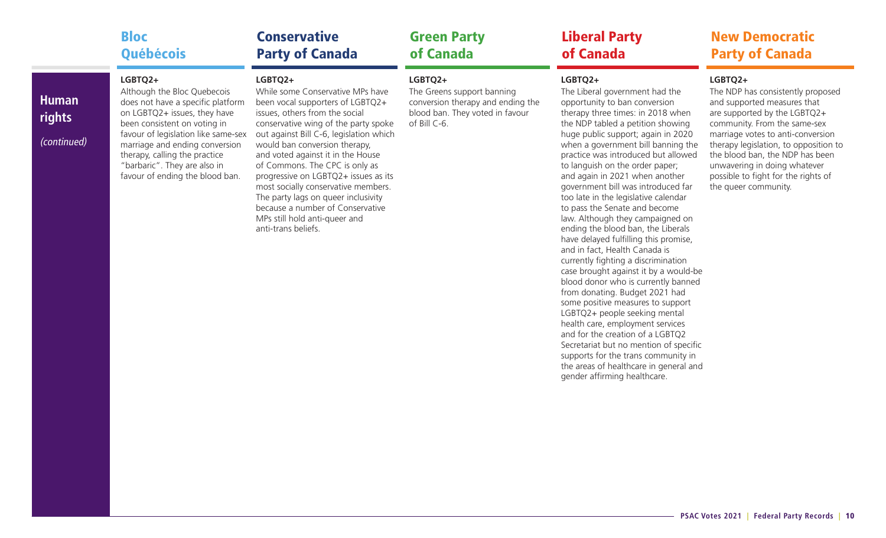|                                       | <b>Bloc</b>                                                                                                                                                                                                                                                                                                              | <b>Conservative</b>                                                                                                                                                                                                                                                                                                                                                                                                                                                                                                            | <b>Green Party</b>                                                                                                            | <b>Liberal Party</b>                                                                                                                                                                                                                                                                                                                                                                                                                                                                                                                                                                                                                                                                                                                                                                                                                                                                                                                                                                                                                                                              | <b>New Democratic</b>                                                                                                                                                                                                                                                                                                                                       |
|---------------------------------------|--------------------------------------------------------------------------------------------------------------------------------------------------------------------------------------------------------------------------------------------------------------------------------------------------------------------------|--------------------------------------------------------------------------------------------------------------------------------------------------------------------------------------------------------------------------------------------------------------------------------------------------------------------------------------------------------------------------------------------------------------------------------------------------------------------------------------------------------------------------------|-------------------------------------------------------------------------------------------------------------------------------|-----------------------------------------------------------------------------------------------------------------------------------------------------------------------------------------------------------------------------------------------------------------------------------------------------------------------------------------------------------------------------------------------------------------------------------------------------------------------------------------------------------------------------------------------------------------------------------------------------------------------------------------------------------------------------------------------------------------------------------------------------------------------------------------------------------------------------------------------------------------------------------------------------------------------------------------------------------------------------------------------------------------------------------------------------------------------------------|-------------------------------------------------------------------------------------------------------------------------------------------------------------------------------------------------------------------------------------------------------------------------------------------------------------------------------------------------------------|
|                                       | Québécois                                                                                                                                                                                                                                                                                                                | <b>Party of Canada</b>                                                                                                                                                                                                                                                                                                                                                                                                                                                                                                         | of Canada                                                                                                                     | of Canada                                                                                                                                                                                                                                                                                                                                                                                                                                                                                                                                                                                                                                                                                                                                                                                                                                                                                                                                                                                                                                                                         | <b>Party of Canada</b>                                                                                                                                                                                                                                                                                                                                      |
| <b>Human</b><br>rights<br>(continued) | LGBTQ2+<br>Although the Bloc Quebecois<br>does not have a specific platform<br>on LGBTQ2+ issues, they have<br>been consistent on voting in<br>favour of legislation like same-sex<br>marriage and ending conversion<br>therapy, calling the practice<br>"barbaric". They are also in<br>favour of ending the blood ban. | LGBTQ2+<br>While some Conservative MPs have<br>been vocal supporters of LGBTQ2+<br>issues, others from the social<br>conservative wing of the party spoke<br>out against Bill C-6, legislation which<br>would ban conversion therapy,<br>and voted against it in the House<br>of Commons. The CPC is only as<br>progressive on LGBTQ2+ issues as its<br>most socially conservative members.<br>The party lags on queer inclusivity<br>because a number of Conservative<br>MPs still hold anti-queer and<br>anti-trans beliefs. | LGBTQ2+<br>The Greens support banning<br>conversion therapy and ending the<br>blood ban. They voted in favour<br>of Bill C-6. | LGBTQ2+<br>The Liberal government had the<br>opportunity to ban conversion<br>therapy three times: in 2018 when<br>the NDP tabled a petition showing<br>huge public support; again in 2020<br>when a government bill banning the<br>practice was introduced but allowed<br>to languish on the order paper;<br>and again in 2021 when another<br>government bill was introduced far<br>too late in the legislative calendar<br>to pass the Senate and become<br>law. Although they campaigned on<br>ending the blood ban, the Liberals<br>have delayed fulfilling this promise,<br>and in fact, Health Canada is<br>currently fighting a discrimination<br>case brought against it by a would-be<br>blood donor who is currently banned<br>from donating. Budget 2021 had<br>some positive measures to support<br>LGBTQ2+ people seeking mental<br>health care, employment services<br>and for the creation of a LGBTQ2<br>Secretariat but no mention of specific<br>supports for the trans community in<br>the areas of healthcare in general and<br>gender affirming healthcare. | LGBTQ2+<br>The NDP has consistently proposed<br>and supported measures that<br>are supported by the LGBTQ2+<br>community. From the same-sex<br>marriage votes to anti-conversion<br>therapy legislation, to opposition to<br>the blood ban, the NDP has been<br>unwavering in doing whatever<br>possible to fight for the rights of<br>the queer community. |